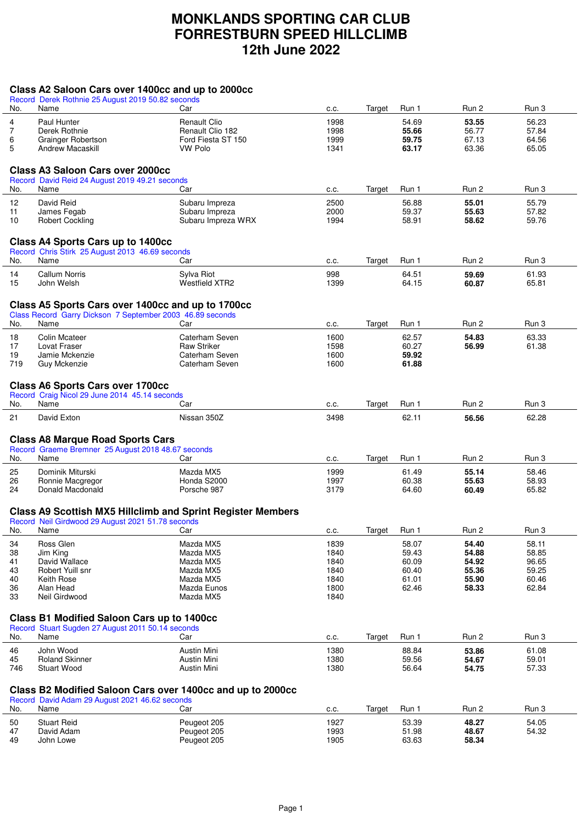## **MONKLANDS SPORTING CAR CLUB FORRESTBURN SPEED HILLCLIMB 12th June 2022**

## **Class A2 Saloon Cars over 1400cc and up to 2000cc**

|           | Record Derek Rothnie 25 August 2019 50.82 seconds                                                              |                                      |              |        |                |                |                |
|-----------|----------------------------------------------------------------------------------------------------------------|--------------------------------------|--------------|--------|----------------|----------------|----------------|
| No.       | Name                                                                                                           | Car                                  | C.C.         | Target | Run 1          | Run 2          | Run 3          |
| 4         | Paul Hunter                                                                                                    | <b>Renault Clio</b>                  | 1998         |        | 54.69          | 53.55          | 56.23          |
| 7         | Derek Rothnie                                                                                                  | Renault Clio 182                     | 1998         |        | 55.66          | 56.77          | 57.84          |
| 6         | Grainger Robertson                                                                                             | Ford Fiesta ST 150                   | 1999         |        | 59.75          | 67.13          | 64.56          |
| 5         | Andrew Macaskill                                                                                               | <b>VW Polo</b>                       | 1341         |        | 63.17          | 63.36          | 65.05          |
|           |                                                                                                                |                                      |              |        |                |                |                |
|           | <b>Class A3 Saloon Cars over 2000cc</b>                                                                        |                                      |              |        |                |                |                |
|           | Record David Reid 24 August 2019 49.21 seconds                                                                 |                                      |              |        |                |                |                |
| No.       | Name                                                                                                           | Car                                  | C.C.         | Target | Run 1          | Run 2          | Run 3          |
| 12        | David Reid                                                                                                     | Subaru Impreza                       | 2500         |        | 56.88          | 55.01          | 55.79          |
| 11        | James Fegab                                                                                                    | Subaru Impreza                       | 2000         |        | 59.37          | 55.63          | 57.82          |
| 10        | Robert Cockling                                                                                                | Subaru Impreza WRX                   | 1994         |        | 58.91          | 58.62          | 59.76          |
|           |                                                                                                                |                                      |              |        |                |                |                |
|           | <b>Class A4 Sports Cars up to 1400cc</b>                                                                       |                                      |              |        |                |                |                |
|           | Record Chris Stirk 25 August 2013 46.69 seconds                                                                |                                      |              |        |                |                |                |
| No.       | Name                                                                                                           | Car                                  | C.C.         | Target | Run 1          | Run 2          | Run 3          |
| 14        | <b>Callum Norris</b>                                                                                           | Sylva Riot                           | 998          |        | 64.51          | 59.69          | 61.93          |
| 15        | John Welsh                                                                                                     | <b>Westfield XTR2</b>                | 1399         |        | 64.15          | 60.87          | 65.81          |
|           |                                                                                                                |                                      |              |        |                |                |                |
|           |                                                                                                                |                                      |              |        |                |                |                |
|           | Class A5 Sports Cars over 1400cc and up to 1700cc<br>Class Record Garry Dickson 7 September 2003 46.89 seconds |                                      |              |        |                |                |                |
| No.       | Name                                                                                                           | Car                                  | C.C.         | Target | Run 1          | Run 2          | Run 3          |
|           |                                                                                                                |                                      |              |        |                |                |                |
| 18        | <b>Colin Mcateer</b>                                                                                           | Caterham Seven                       | 1600         |        | 62.57          | 54.83          | 63.33          |
| 17<br>19  | Lovat Fraser<br>Jamie Mckenzie                                                                                 | <b>Raw Striker</b><br>Caterham Seven | 1598<br>1600 |        | 60.27          | 56.99          | 61.38          |
| 719       | <b>Guy Mckenzie</b>                                                                                            | Caterham Seven                       | 1600         |        | 59.92<br>61.88 |                |                |
|           |                                                                                                                |                                      |              |        |                |                |                |
|           |                                                                                                                |                                      |              |        |                |                |                |
|           | <b>Class A6 Sports Cars over 1700cc</b><br>Record Craig Nicol 29 June 2014 45.14 seconds                       |                                      |              |        |                |                |                |
| No.       | Name                                                                                                           | Car                                  | C.C.         | Target | Run 1          | Run 2          | Run 3          |
|           |                                                                                                                |                                      |              |        |                |                |                |
| 21        | David Exton                                                                                                    | Nissan 350Z                          | 3498         |        | 62.11          | 56.56          | 62.28          |
|           |                                                                                                                |                                      |              |        |                |                |                |
|           | <b>Class A8 Marque Road Sports Cars</b>                                                                        |                                      |              |        |                |                |                |
|           | Record Graeme Bremner 25 August 2018 48.67 seconds                                                             |                                      |              |        |                |                |                |
| No.       | Name                                                                                                           | Car                                  | C.C.         | Target | Run 1          | Run 2          | Run 3          |
| 25        | Dominik Miturski                                                                                               | Mazda MX5                            | 1999         |        | 61.49          | 55.14          | 58.46          |
| 26        | Ronnie Macgregor                                                                                               | Honda S2000                          | 1997         |        | 60.38          | 55.63          | 58.93          |
| 24        | Donald Macdonald                                                                                               | Porsche 987                          | 3179         |        | 64.60          | 60.49          | 65.82          |
|           |                                                                                                                |                                      |              |        |                |                |                |
|           | <b>Class A9 Scottish MX5 Hillclimb and Sprint Register Members</b>                                             |                                      |              |        |                |                |                |
|           | Record Neil Girdwood 29 August 2021 51.78 seconds                                                              |                                      |              |        |                |                |                |
| No.       | Name                                                                                                           | Car                                  | C.C.         | Target | Run 1          | Run 2          | Run 3          |
| 34        | Ross Glen                                                                                                      | Mazda MX5                            | 1839         |        | 58.07          | 54.40          | 58.11          |
| 38        | Jim King                                                                                                       | Mazda MX5                            | 1840         |        | 59.43          | 54.88          | 58.85          |
| 41        | David Wallace                                                                                                  | Mazda MX5                            | 1840         |        | 60.09          | 54.92          | 96.65          |
| 43        | Robert Yuill snr                                                                                               | Mazda MX5                            | 1840         |        | 60.40          | 55.36          | 59.25          |
| 40        | Keith Rose                                                                                                     | Mazda MX5                            | 1840         |        | 61.01          | 55.90          | 60.46          |
| 36<br>33  | Alan Head<br>Neil Girdwood                                                                                     | Mazda Eunos<br>Mazda MX5             | 1800<br>1840 |        | 62.46          | 58.33          | 62.84          |
|           |                                                                                                                |                                      |              |        |                |                |                |
|           | <b>Class B1 Modified Saloon Cars up to 1400cc</b>                                                              |                                      |              |        |                |                |                |
|           | Record Stuart Sugden 27 August 2011 50.14 seconds                                                              |                                      |              |        |                |                |                |
| No.       | Name                                                                                                           | Car                                  | C.C.         | Target | Run 1          | Run 2          | Run 3          |
|           |                                                                                                                |                                      |              |        |                |                |                |
| 46        | John Wood                                                                                                      | <b>Austin Mini</b>                   | 1380         |        | 88.84          | 53.86          | 61.08          |
| 45<br>746 | <b>Roland Skinner</b><br><b>Stuart Wood</b>                                                                    | Austin Mini<br>Austin Mini           | 1380<br>1380 |        | 59.56<br>56.64 | 54.67<br>54.75 | 59.01<br>57.33 |
|           |                                                                                                                |                                      |              |        |                |                |                |
|           |                                                                                                                |                                      |              |        |                |                |                |
|           | Class B2 Modified Saloon Cars over 1400cc and up to 2000cc                                                     |                                      |              |        |                |                |                |
| No.       | Record David Adam 29 August 2021 46.62 seconds<br>Name                                                         | Car                                  | C.C.         | Target | Run 1          | Run 2          | Run 3          |
|           |                                                                                                                |                                      |              |        |                |                |                |
| 50        | <b>Stuart Reid</b>                                                                                             | Peugeot 205                          | 1927         |        | 53.39          | 48.27          | 54.05          |
| 47<br>49  | David Adam<br>John Lowe                                                                                        | Peugeot 205<br>Peugeot 205           | 1993<br>1905 |        | 51.98<br>63.63 | 48.67<br>58.34 | 54.32          |
|           |                                                                                                                |                                      |              |        |                |                |                |